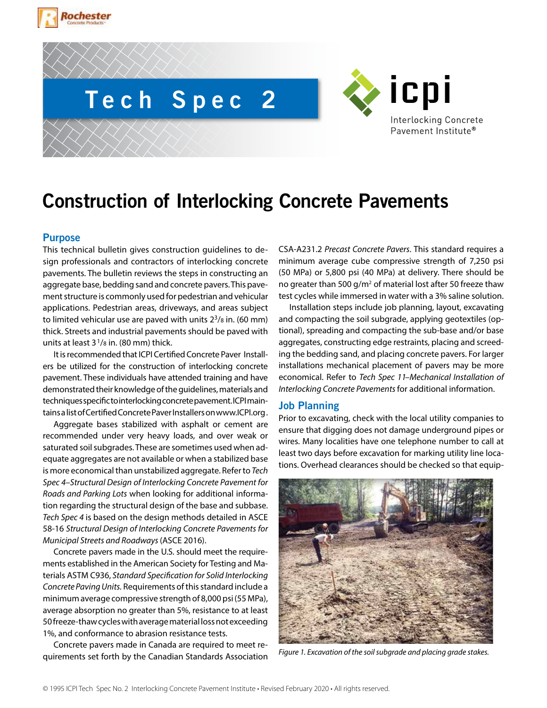





# **Construction of Interlocking Concrete Pavements**

# **Purpose**

This technical bulletin gives construction guidelines to design professionals and contractors of interlocking concrete pavements. The bulletin reviews the steps in constructing an aggregate base, bedding sand and concrete pavers. This pavement structure is commonly used for pedestrian and vehicular applications. Pedestrian areas, driveways, and areas subject to limited vehicular use are paved with units  $2^3$ /8 in. (60 mm) thick. Streets and industrial pavements should be paved with units at least  $3^{1}/8$  in. (80 mm) thick.

It is recommended that ICPI Certified Concrete Paver Installers be utilized for the construction of interlocking concrete pavement. These individuals have attended training and have demonstrated their knowledge of the guidelines, materials and techniques specific to interlocking concrete pavement. ICPI maintains a list of Certified Concrete Paver Installers on www.ICPI.org .

Aggregate bases stabilized with asphalt or cement are recommended under very heavy loads, and over weak or saturated soil subgrades. These are sometimes used when adequate aggregates are not available or when a stabilized base is more economical than unstabilized aggregate. Refer to *Tech Spec 4–Structural Design of Interlocking Concrete Pavement for Roads and Parking Lots* when looking for additional information regarding the structural design of the base and subbase. *Tech Spec 4* is based on the design methods detailed in ASCE 58-16 *Structural Design of Interlocking Concrete Pavements for Municipal Streets and Roadways* (ASCE 2016).

Concrete pavers made in the U.S. should meet the requirements established in the American Society for Testing and Materials ASTM C936, *Standard Specification for Solid Interlocking Concrete Paving Units.* Requirements of this standard include a minimum average compressive strength of 8,000 psi (55 MPa), average absorption no greater than 5%, resistance to at least 50 freeze-thaw cycles with average material loss not exceeding 1%, and conformance to abrasion resistance tests.

Concrete pavers made in Canada are required to meet requirements set forth by the Canadian Standards Association CSA-A231.2 *Precast Concrete Pavers*. This standard requires a minimum average cube compressive strength of 7,250 psi (50 MPa) or 5,800 psi (40 MPa) at delivery. There should be no greater than 500 g/m<sup>2</sup> of material lost after 50 freeze thaw test cycles while immersed in water with a 3% saline solution.

Installation steps include job planning, layout, excavating and compacting the soil subgrade, applying geotextiles (optional), spreading and compacting the sub-base and/or base aggregates, constructing edge restraints, placing and screeding the bedding sand, and placing concrete pavers. For larger installations mechanical placement of pavers may be more economical. Refer to *Tech Spec 11–Mechanical Installation of Interlocking Concrete Pavements* for additional information.

## **Job Planning**

Prior to excavating, check with the local utility companies to ensure that digging does not damage underground pipes or wires. Many localities have one telephone number to call at least two days before excavation for marking utility line locations. Overhead clearances should be checked so that equip-



*Figure 1. Excavation of the soil subgrade and placing grade stakes.*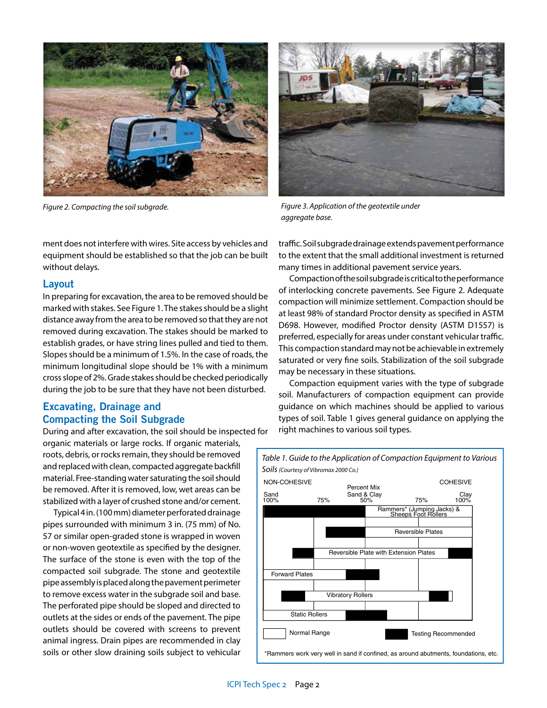

*Figure 2. Compacting the soil subgrade.*

ment does not interfere with wires. Site access by vehicles and equipment should be established so that the job can be built without delays.

## **Layout**

In preparing for excavation, the area to be removed should be marked with stakes. See Figure 1. The stakes should be a slight distance away from the area to be removed so that they are not removed during excavation. The stakes should be marked to establish grades, or have string lines pulled and tied to them. Slopes should be a minimum of 1.5%. In the case of roads, the minimum longitudinal slope should be 1% with a minimum cross slope of 2%. Grade stakes should be checked periodically during the job to be sure that they have not been disturbed.

# **Excavating, Drainage and Compacting the Soil Subgrade**

During and after excavation, the soil should be inspected for organic materials or large rocks. If organic materials, roots, debris, or rocks remain, they should be removed and replaced with clean, compacted aggregate backfill material. Free-standing water saturating the soil should be removed. After it is removed, low, wet areas can be

stabilized with a layer of crushed stone and/or cement. Typical 4 in. (100 mm) diameter perforated drainage pipes surrounded with minimum 3 in. (75 mm) of No. 57 or similar open-graded stone is wrapped in woven or non-woven geotextile as specified by the designer. The surface of the stone is even with the top of the compacted soil subgrade. The stone and geotextile pipe assembly is placed along the pavement perimeter to remove excess water in the subgrade soil and base. The perforated pipe should be sloped and directed to outlets at the sides or ends of the pavement. The pipe outlets should be covered with screens to prevent animal ingress. Drain pipes are recommended in clay soils or other slow draining soils subject to vehicular



*Figure 3. Application of the geotextile under aggregate base.*

traffic. Soil subgrade drainage extends pavement performance to the extent that the small additional investment is returned many times in additional pavement service years.

Compaction of the soil subgrade is critical to the performance of interlocking concrete pavements. See Figure 2. Adequate compaction will minimize settlement. Compaction should be at least 98% of standard Proctor density as specified in ASTM D698. However, modified Proctor density (ASTM D1557) is preferred, especially for areas under constant vehicular traffic. This compaction standard may not be achievable in extremely saturated or very fine soils. Stabilization of the soil subgrade may be necessary in these situations.

Compaction equipment varies with the type of subgrade soil. Manufacturers of compaction equipment can provide guidance on which machines should be applied to various types of soil. Table 1 gives general guidance on applying the right machines to various soil types.

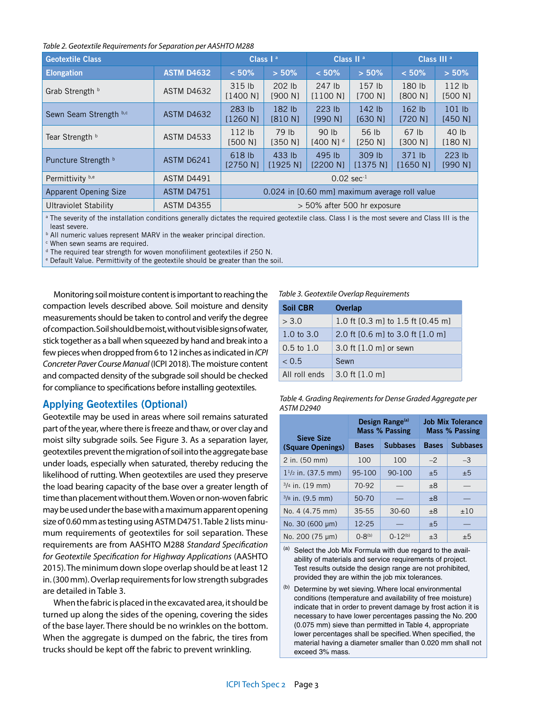#### *Table 2. Geotextile Requirements for Separation per AASHTO M288*

| <b>Geotextile Class</b>      |                   | Class $I^a$                                   |                    | Class II <sup>a</sup>           |                              | Class III <sup>a</sup> |                              |
|------------------------------|-------------------|-----------------------------------------------|--------------------|---------------------------------|------------------------------|------------------------|------------------------------|
| <b>Elongation</b>            | <b>ASTM D4632</b> | $< 50\%$                                      | $> 50\%$           | < 50%                           | > 50%                        | $< 50\%$               | $> 50\%$                     |
| Grab Strength b              | <b>ASTM D4632</b> | 315 lb<br>[1400 N]                            | 202 lb<br>[900 N]  | 247 lb<br>[1100 N]              | 157 <sub>1b</sub><br>[700 N] | 180 lb<br>[800 N]      | 112 <sub>1b</sub><br>[500 N] |
| Sewn Seam Strength b,c       | <b>ASTM D4632</b> | 283 lb<br>[1260 N]                            | 182 lb<br>[810 N]  | $223$ lb<br>[990 N]             | $142$ lb<br>[630 N]          | $162$ lb<br>[720 N]    | $101$ lb<br>[450 N]          |
| Tear Strength b              | <b>ASTM D4533</b> | $112$ lb<br>[500 N]                           | 79 lb<br>[350 N]   | 90 lb<br>$[400 N]$ <sup>d</sup> | 56 lb<br>[250 N]             | 67 lb<br>[300 N]       | 40 lb<br>[180 N]             |
| Puncture Strength b          | ASTM D6241        | 618 lb<br>[2750 N]                            | 433 lb<br>[1925 N] | 495 lb<br>[2200 N]              | 309 lb<br>[1375 N]           | 371 lb<br>[1650 N]     | 223 lb<br>[990 N]            |
| Permittivity b,e             | <b>ASTM D4491</b> | $0.02$ sec <sup>-1</sup>                      |                    |                                 |                              |                        |                              |
| <b>Apparent Opening Size</b> | <b>ASTM D4751</b> | 0.024 in [0.60 mm] maximum average roll value |                    |                                 |                              |                        |                              |
| Ultraviolet Stability        | <b>ASTM D4355</b> | > 50% after 500 hr exposure                   |                    |                                 |                              |                        |                              |

<sup>a</sup> The severity of the installation conditions generally dictates the required geotextile class. Class I is the most severe and Class III is the least severe.

**b** All numeric values represent MARV in the weaker principal direction.

<sup>c</sup> When sewn seams are required.

<sup>d</sup> The required tear strength for woven monofiliment geotextiles if 250 N.

<sup>e</sup> Default Value. Permittivity of the geotextile should be greater than the soil.

Monitoring soil moisture content is important to reaching the compaction levels described above. Soil moisture and density measurements should be taken to control and verify the degree of compaction. Soil should be moist, without visible signs of water, stick together as a ball when squeezed by hand and break into a few pieces when dropped from 6 to 12 inches as indicated in *ICPI Concreter Paver Course Manual* (ICPI 2018). The moisture content and compacted density of the subgrade soil should be checked for compliance to specifications before installing geotextiles.

# **Applying Geotextiles (Optional)**

Geotextile may be used in areas where soil remains saturated part of the year, where there is freeze and thaw, or over clay and moist silty subgrade soils. See Figure 3. As a separation layer, geotextiles prevent the migration of soil into the aggregate base under loads, especially when saturated, thereby reducing the likelihood of rutting. When geotextiles are used they preserve the load bearing capacity of the base over a greater length of time than placement without them. Woven or non-woven fabric may be used under the base with a maximum apparent opening size of 0.60 mm as testing using ASTM D4751. Table 2 lists minumum requirements of geotextiles for soil separation. These requirements are from AASHTO M288 *Standard Specification for Geotextile Specification for Highway Applications* (AASHTO 2015). The minimum down slope overlap should be at least 12 in. (300 mm). Overlap requirements for low strength subgrades are detailed in Table 3.

When the fabric is placed in the excavated area, it should be turned up along the sides of the opening, covering the sides of the base layer. There should be no wrinkles on the bottom. When the aggregate is dumped on the fabric, the tires from trucks should be kept off the fabric to prevent wrinkling.

#### *Table 3. Geotextile Overlap Requirements*

| <b>Soil CBR</b>       | <b>Overlap</b>                    |
|-----------------------|-----------------------------------|
| > 3.0                 | 1.0 ft [0.3 m] to 1.5 ft [0.45 m] |
| $1.0 \text{ to } 3.0$ | 2.0 ft [0.6 m] to 3.0 ft [1.0 m]  |
| $0.5 \text{ to } 1.0$ | 3.0 ft [1.0 m] or sewn            |
| < 0.5                 | Sewn                              |
| All roll ends         | 3.0 ft [1.0 m]                    |

*Table 4. Grading Reqirements for Dense Graded Aggregate per ASTM D2940*

|                                        |                | Design Range <sup>(a)</sup><br><b>Mass % Passing</b> | <b>Job Mix Tolerance</b><br>Mass % Passing |                 |  |
|----------------------------------------|----------------|------------------------------------------------------|--------------------------------------------|-----------------|--|
| <b>Sieve Size</b><br>(Square Openings) | <b>Bases</b>   | <b>Subbases</b>                                      | <b>Bases</b>                               | <b>Subbases</b> |  |
| 2 in. (50 mm)                          | 100            | 100                                                  | $-2$                                       | $-3$            |  |
| $1^{1/2}$ in. (37.5 mm)                | 95-100         | 90-100                                               | ±5                                         | ±5              |  |
| $3/4$ in. (19 mm)                      | 70-92          |                                                      | ±8                                         |                 |  |
| $3/s$ in. (9.5 mm)                     | $50-70$        |                                                      | ±8                                         |                 |  |
| No. 4 (4.75 mm)                        | $35 - 55$      | $30 - 60$                                            | ±8                                         | ±10             |  |
| No. 30 (600 µm)                        | 12-25          |                                                      | ±5                                         |                 |  |
| No. 200 (75 µm)                        | $() - 8^{(b)}$ | $0-12^{(b)}$                                         | $\pm 3$                                    | ±5              |  |

(a) Select the Job Mix Formula with due regard to the availability of materials and service requirements of project. Test results outside the design range are not prohibited, provided they are within the job mix tolerances.

(b) Determine by wet sieving. Where local environmental conditions (temperature and availability of free moisture) indicate that in order to prevent damage by frost action it is necessary to have lower percentages passing the No. 200 (0.075 mm) sieve than permitted in Table 4, appropriate lower percentages shall be specified. When specified, the material having a diameter smaller than 0.020 mm shall not exceed 3% mass.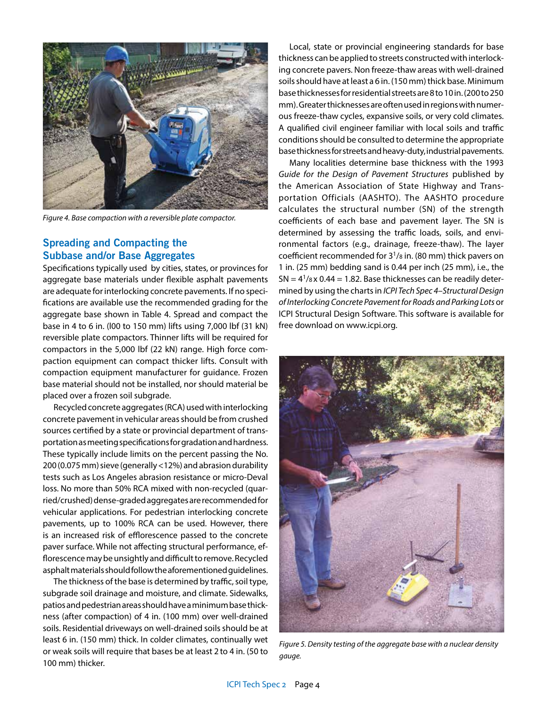

*Figure 4. Base compaction with a reversible plate compactor.*

# **Spreading and Compacting the Subbase and/or Base Aggregates**

Specifications typically used by cities, states, or provinces for aggregate base materials under flexible asphalt pavements are adequate for interlocking concrete pavements. If no specifications are available use the recommended grading for the aggregate base shown in Table 4. Spread and compact the base in 4 to 6 in. (l00 to 150 mm) lifts using 7,000 lbf (31 kN) reversible plate compactors. Thinner lifts will be required for compactors in the 5,000 lbf (22 kN) range. High force compaction equipment can compact thicker lifts. Consult with compaction equipment manufacturer for guidance. Frozen base material should not be installed, nor should material be placed over a frozen soil subgrade.

Recycled concrete aggregates (RCA) used with interlocking concrete pavement in vehicular areas should be from crushed sources certified by a state or provincial department of transportation as meeting specifications for gradation and hardness. These typically include limits on the percent passing the No. 200 (0.075 mm) sieve (generally <12%) and abrasion durability tests such as Los Angeles abrasion resistance or micro-Deval loss. No more than 50% RCA mixed with non-recycled (quarried/crushed) dense-graded aggregates are recommended for vehicular applications. For pedestrian interlocking concrete pavements, up to 100% RCA can be used. However, there is an increased risk of efflorescence passed to the concrete paver surface. While not affecting structural performance, efflorescence may be unsightly and difficult to remove. Recycled asphalt materials should follow the aforementioned guidelines.

The thickness of the base is determined by traffic, soil type, subgrade soil drainage and moisture, and climate. Sidewalks, patios and pedestrian areas should have a minimum base thickness (after compaction) of 4 in. (100 mm) over well-drained soils. Residential driveways on well-drained soils should be at least 6 in. (150 mm) thick. In colder climates, continually wet or weak soils will require that bases be at least 2 to 4 in. (50 to 100 mm) thicker.

Local, state or provincial engineering standards for base thickness can be applied to streets constructed with interlocking concrete pavers. Non freeze-thaw areas with well-drained soils should have at least a 6 in. (150 mm) thick base. Minimum base thicknesses for residential streets are 8 to 10 in. (200 to 250 mm). Greater thicknesses are often used in regions with numerous freeze-thaw cycles, expansive soils, or very cold climates. A qualified civil engineer familiar with local soils and traffic conditions should be consulted to determine the appropriate base thickness for streets and heavy-duty, industrial pavements.

Many localities determine base thickness with the 1993 *Guide for the Design of Pavement Structures* published by the American Association of State Highway and Transportation Officials (AASHTO). The AASHTO procedure calculates the structural number (SN) of the strength coefficients of each base and pavement layer. The SN is determined by assessing the traffic loads, soils, and environmental factors (e.g., drainage, freeze-thaw). The layer coefficient recommended for  $3^{1}/8$  in. (80 mm) thick pavers on 1 in. (25 mm) bedding sand is 0.44 per inch (25 mm), i.e., the  $SN = 4<sup>1</sup>/8$  x 0.44 = 1.82. Base thicknesses can be readily determined by using the charts in *ICPI Tech Spec 4–Structural Design of Interlocking Concrete Pavement for Roads and Parking Lots* or ICPI Structural Design Software. This software is available for free download on www.icpi.org.



*Figure 5. Density testing of the aggregate base with a nuclear density gauge.*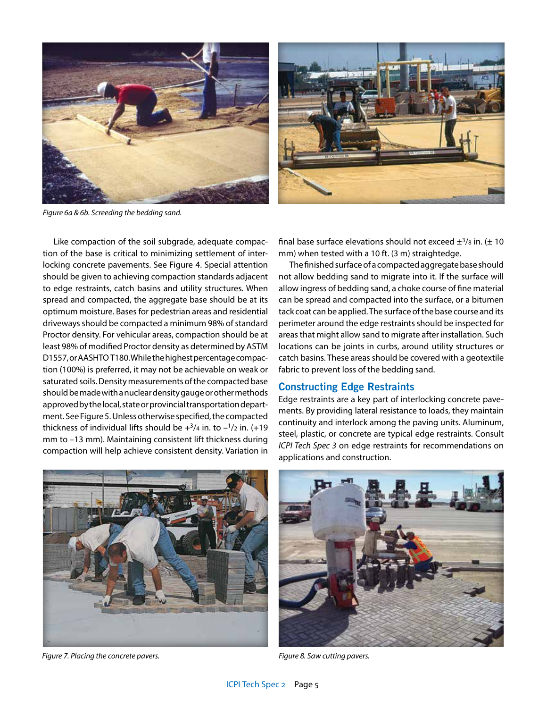

*Figure 6a & 6b. Screeding the bedding sand.*

Like compaction of the soil subgrade, adequate compaction of the base is critical to minimizing settlement of interlocking concrete pavements. See Figure 4. Special attention should be given to achieving compaction standards adjacent to edge restraints, catch basins and utility structures. When spread and compacted, the aggregate base should be at its optimum moisture. Bases for pedestrian areas and residential driveways should be compacted a minimum 98% of standard Proctor density. For vehicular areas, compaction should be at least 98% of modified Proctor density as determined by ASTM D1557, or AASHTO T180. While the highest percentage compaction (100%) is preferred, it may not be achievable on weak or saturated soils. Density measurements of the compacted base should be made with a nuclear density gauge or other methods approved by the local, state or provincial transportation department. See Figure 5. Unless otherwise specified, the compacted thickness of individual lifts should be  $+^{3}/4$  in. to  $-^{1}/2$  in. (+19 mm to –13 mm). Maintaining consistent lift thickness during compaction will help achieve consistent density. Variation in final base surface elevations should not exceed  $\pm^{3}/8$  in. ( $\pm$  10 mm) when tested with a 10 ft. (3 m) straightedge.

The finished surface of a compacted aggregate base should not allow bedding sand to migrate into it. If the surface will allow ingress of bedding sand, a choke course of fine material can be spread and compacted into the surface, or a bitumen tack coat can be applied. The surface of the base course and its perimeter around the edge restraints should be inspected for areas that might allow sand to migrate after installation. Such locations can be joints in curbs, around utility structures or catch basins. These areas should be covered with a geotextile fabric to prevent loss of the bedding sand.

## **Constructing Edge Restraints**

Edge restraints are a key part of interlocking concrete pavements. By providing lateral resistance to loads, they maintain continuity and interlock among the paving units. Aluminum, steel, plastic, or concrete are typical edge restraints. Consult *ICPI Tech Spec 3* on edge restraints for recommendations on applications and construction.



*Figure 7. Placing the concrete pavers. Figure 8. Saw cutting pavers.*

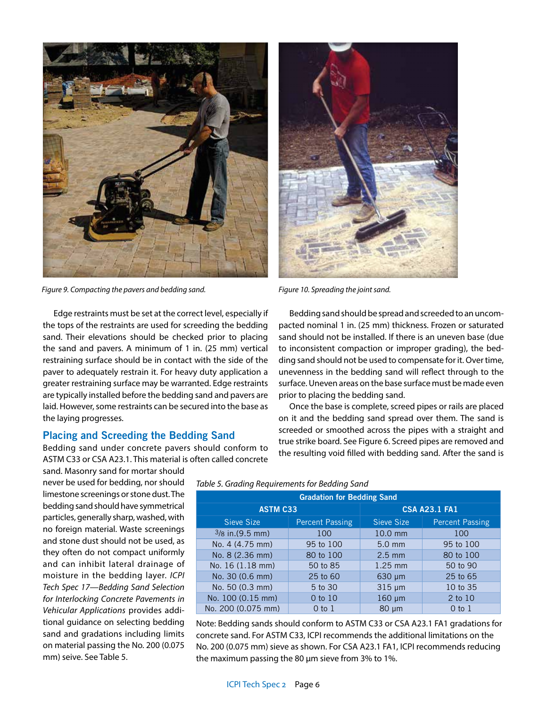

*Figure 9. Compacting the pavers and bedding sand. Figure 10. Spreading the joint sand.*

Edge restraints must be set at the correct level, especially if the tops of the restraints are used for screeding the bedding sand. Their elevations should be checked prior to placing the sand and pavers. A minimum of 1 in. (25 mm) vertical restraining surface should be in contact with the side of the paver to adequately restrain it. For heavy duty application a greater restraining surface may be warranted. Edge restraints are typically installed before the bedding sand and pavers are laid. However, some restraints can be secured into the base as the laying progresses.

## **Placing and Screeding the Bedding Sand**

Bedding sand under concrete pavers should conform to ASTM C33 or CSA A23.1. This material is often called concrete

sand. Masonry sand for mortar should never be used for bedding, nor should limestone screenings or stone dust. The bedding sand should have symmetrical particles, generally sharp, washed, with no foreign material. Waste screenings and stone dust should not be used, as they often do not compact uniformly and can inhibit lateral drainage of moisture in the bedding layer. *ICPI Tech Spec 17—Bedding Sand Selection for Interlocking Concrete Pavements in Vehicular Applications* provides additional guidance on selecting bedding sand and gradations including limits on material passing the No. 200 (0.075 mm) seive. See Table 5.



Bedding sand should be spread and screeded to an uncompacted nominal 1 in. (25 mm) thickness. Frozen or saturated sand should not be installed. If there is an uneven base (due to inconsistent compaction or improper grading), the bedding sand should not be used to compensate for it. Over time, unevenness in the bedding sand will reflect through to the surface. Uneven areas on the base surface must be made even prior to placing the bedding sand.

Once the base is complete, screed pipes or rails are placed on it and the bedding sand spread over them. The sand is screeded or smoothed across the pipes with a straight and true strike board. See Figure 6. Screed pipes are removed and the resulting void filled with bedding sand. After the sand is

| <b>Gradation for Bedding Sand</b> |                        |                      |                        |  |  |
|-----------------------------------|------------------------|----------------------|------------------------|--|--|
| <b>ASTM C33</b>                   |                        | <b>CSA A23.1 FA1</b> |                        |  |  |
| Sieve Size                        | <b>Percent Passing</b> | Sieve Size           | <b>Percent Passing</b> |  |  |
| $3/8$ in. (9.5 mm)                | 100                    | 10.0 mm              | 100                    |  |  |
| No. 4 (4.75 mm)                   | 95 to 100              | $5.0$ mm             | 95 to 100              |  |  |
| No. 8 (2.36 mm)                   | 80 to 100              | $2.5 \text{ mm}$     | 80 to 100              |  |  |
| No. 16 (1.18 mm)                  | 50 to 85               | $1.25$ mm            | 50 to 90               |  |  |
| No. 30 (0.6 mm)                   | 25 to 60               | $630 \mu m$          | 25 to 65               |  |  |
| No. 50 (0.3 mm)                   | 5 to 30                | $315 \mu m$          | 10 to 35               |  |  |
| No. 100 (0.15 mm)                 | 0 to 10                | $160 \mu m$          | 2 to 10                |  |  |
| No. 200 (0.075 mm)                | 0 <sub>to 1</sub>      | $80 \mu m$           | $0$ to $1$             |  |  |

*Table 5. Grading Requirements for Bedding Sand*

Note: Bedding sands should conform to ASTM C33 or CSA A23.1 FA1 gradations for concrete sand. For ASTM C33, ICPI recommends the additional limitations on the No. 200 (0.075 mm) sieve as shown. For CSA A23.1 FA1, ICPI recommends reducing the maximum passing the 80 μm sieve from 3% to 1%.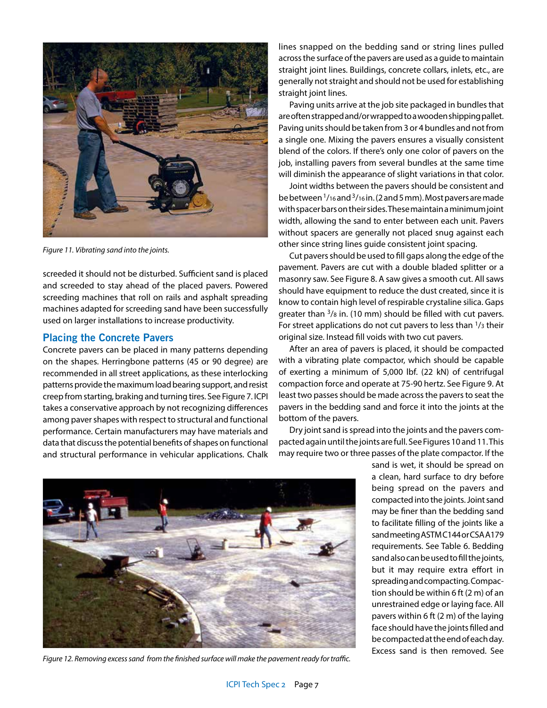

*Figure 11. Vibrating sand into the joints.*

screeded it should not be disturbed. Sufficient sand is placed and screeded to stay ahead of the placed pavers. Powered screeding machines that roll on rails and asphalt spreading machines adapted for screeding sand have been successfully used on larger installations to increase productivity.

# **Placing the Concrete Pavers**

Concrete pavers can be placed in many patterns depending on the shapes. Herringbone patterns (45 or 90 degree) are recommended in all street applications, as these interlocking patterns provide the maximum load bearing support, and resist creep from starting, braking and turning tires. See Figure 7. ICPI takes a conservative approach by not recognizing differences among paver shapes with respect to structural and functional performance. Certain manufacturers may have materials and data that discuss the potential benefits of shapes on functional and structural performance in vehicular applications. Chalk lines snapped on the bedding sand or string lines pulled across the surface of the pavers are used as a guide to maintain straight joint lines. Buildings, concrete collars, inlets, etc., are generally not straight and should not be used for establishing straight joint lines.

Paving units arrive at the job site packaged in bundles that are often strapped and/or wrapped to a wooden shipping pallet. Paving units should be taken from 3 or 4 bundles and not from a single one. Mixing the pavers ensures a visually consistent blend of the colors. If there's only one color of pavers on the job, installing pavers from several bundles at the same time will diminish the appearance of slight variations in that color.

Joint widths between the pavers should be consistent and be between 1/16 and 3/16 in. (2 and 5 mm). Most pavers are made with spacer bars on their sides. These maintain a minimum joint width, allowing the sand to enter between each unit. Pavers without spacers are generally not placed snug against each other since string lines guide consistent joint spacing.

Cut pavers should be used to fill gaps along the edge of the pavement. Pavers are cut with a double bladed splitter or a masonry saw. See Figure 8. A saw gives a smooth cut. All saws should have equipment to reduce the dust created, since it is know to contain high level of respirable crystaline silica. Gaps greater than  $3/8$  in. (10 mm) should be filled with cut pavers. For street applications do not cut pavers to less than <sup>1</sup>/3 their original size. Instead fill voids with two cut pavers.

After an area of pavers is placed, it should be compacted with a vibrating plate compactor, which should be capable of exerting a minimum of 5,000 lbf. (22 kN) of centrifugal compaction force and operate at 75-90 hertz. See Figure 9. At least two passes should be made across the pavers to seat the pavers in the bedding sand and force it into the joints at the bottom of the pavers.

Dry joint sand is spread into the joints and the pavers compacted again until the joints are full. See Figures 10 and 11. This may require two or three passes of the plate compactor. If the



*Figure 12. Removing excess sand from the finished surface will make the pavement ready for traffic.*

sand is wet, it should be spread on a clean, hard surface to dry before being spread on the pavers and compacted into the joints. Joint sand may be finer than the bedding sand to facilitate filling of the joints like a sand meeting ASTM C144 or CSA A179 requirements. See Table 6. Bedding sand also can be used to fill the joints, but it may require extra effort in spreading and compacting. Compaction should be within 6 ft (2 m) of an unrestrained edge or laying face. All pavers within 6 ft (2 m) of the laying face should have the joints filled and be compacted at the end of each day. Excess sand is then removed. See